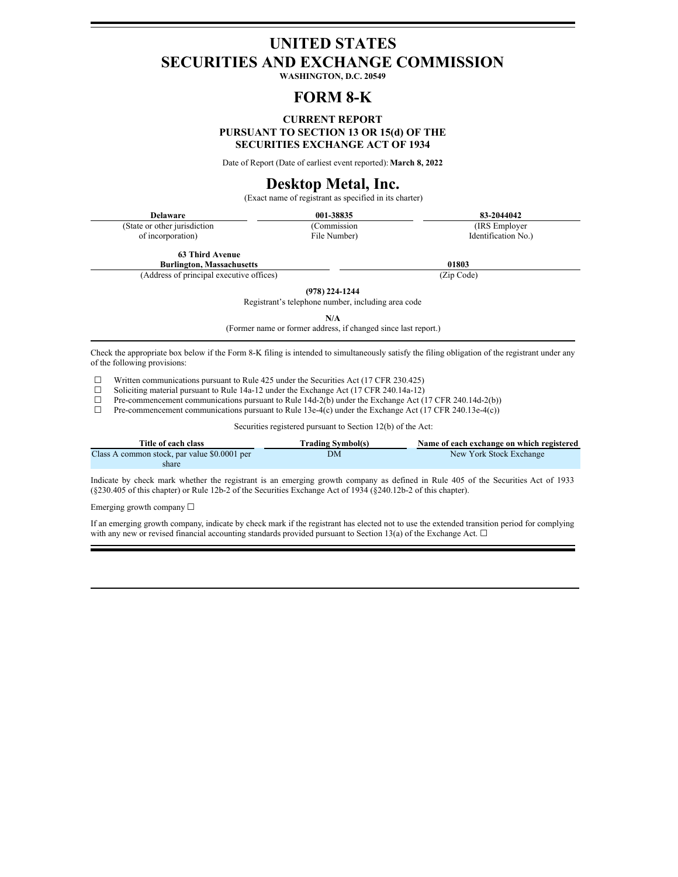# **UNITED STATES SECURITIES AND EXCHANGE COMMISSION**

**WASHINGTON, D.C. 20549**

# **FORM 8-K**

### **CURRENT REPORT PURSUANT TO SECTION 13 OR 15(d) OF THE SECURITIES EXCHANGE ACT OF 1934**

Date of Report (Date of earliest event reported):**March 8, 2022**

# **Desktop Metal, Inc.**

(Exact name of registrant as specified in its charter)

| <b>Delaware</b>               | 001-38835    | 83-2044042          |
|-------------------------------|--------------|---------------------|
| (State or other jurisdiction) | (Commission) | (IRS Employer)      |
| of incorporation)             | File Number) | Identification No.) |

**63 Third Avenue**

**Burlington, Massachusetts 01803**

(Address of principal executive offices) (Zip Code)

**(978) 224-1244**

Registrant's telephone number, including area code

**N/A**

(Former name or former address, if changed since last report.)

Check the appropriate box below if the Form 8-K filing is intended to simultaneously satisfy the filing obligation of the registrant under any of the following provisions:

 $□$  Written communications pursuant to Rule 425 under the Securities Act (17 CFR 230.425)<br>
□ Soliciting material pursuant to Rule 14a-12 under the Exchange Act (17 CFR 240.14a-12) ☐

- □ Soliciting material pursuant to Rule 14a-12 under the Exchange Act (17 CFR 240.14a-12)<br>
Pre-commencement communications pursuant to Rule 14d-2(b) under the Exchange Act (1
- □ Pre-commencement communications pursuant to Rule 14d-2( $\bar{b}$ ) under the Exchange Act (17 CFR 240.14d-2(b)) □ Pre-commencement communications pursuant to Rule 13e-4(c) under the Exchange Act (17 CFR 240.13e-4(c))
- Pre-commencement communications pursuant to Rule 13e-4(c) under the Exchange Act (17 CFR 240.13e-4(c))

Securities registered pursuant to Section 12(b) of the Act:

| Title of each class                          | <b>Trading Symbol(s)</b> | Name of each exchange on which registered |
|----------------------------------------------|--------------------------|-------------------------------------------|
| Class A common stock, par value \$0.0001 per | DМ                       | New York Stock Exchange                   |
| share                                        |                          |                                           |

Indicate by check mark whether the registrant is an emerging growth company as defined in Rule 405 of the Securities Act of 1933 (§230.405 of this chapter) or Rule 12b-2 of the Securities Exchange Act of 1934 (§240.12b-2 of this chapter).

Emerging growth company ☐

If an emerging growth company, indicate by check mark if the registrant has elected not to use the extended transition period for complying with any new or revised financial accounting standards provided pursuant to Section 13(a) of the Exchange Act.  $\Box$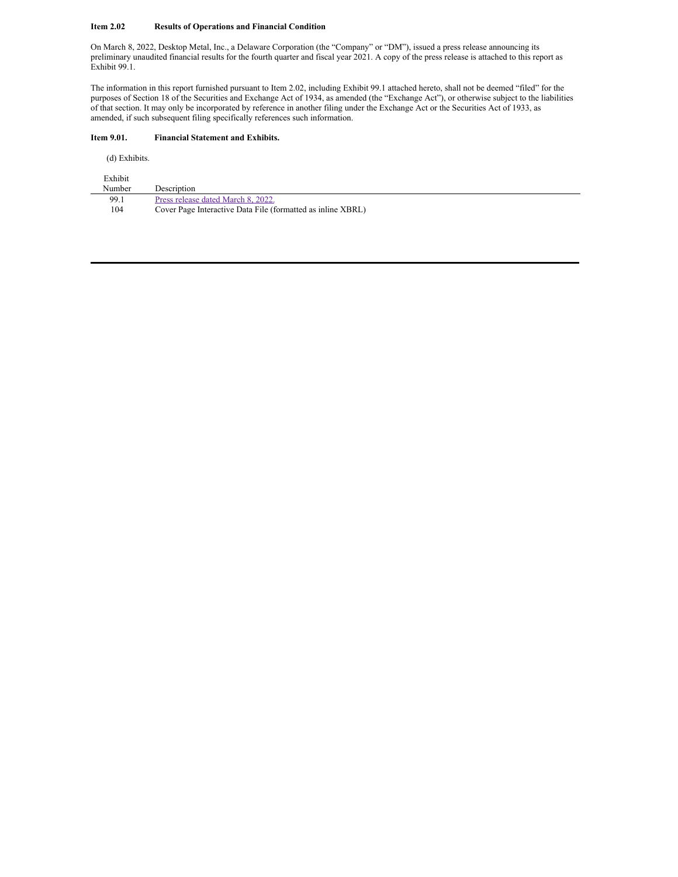#### **Item 2.02 Results of Operations and Financial Condition**

On March 8, 2022, Desktop Metal, Inc., a Delaware Corporation (the "Company" or "DM"), issued a press release announcing its preliminary unaudited financial results for the fourth quarter and fiscal year 2021. A copy of the press release is attached to this report as Exhibit 99.1.

The information in this report furnished pursuant to Item 2.02, including Exhibit 99.1 attached hereto, shall not be deemed "filed" for the purposes of Section 18 of the Securities and Exchange Act of 1934, as amended (the "Exchange Act"), or otherwise subject to the liabilities of that section. It may only be incorporated by reference in another filing under the Exchange Act or the Securities Act of 1933, as amended, if such subsequent filing specifically references such information.

#### **Item 9.01. Financial Statement and Exhibits.**

(d) Exhibits.

| Exhibit |                                                             |
|---------|-------------------------------------------------------------|
| Number  | Description                                                 |
| 99.1    | Press release dated March 8, 2022.                          |
| 104     | Cover Page Interactive Data File (formatted as inline XBRL) |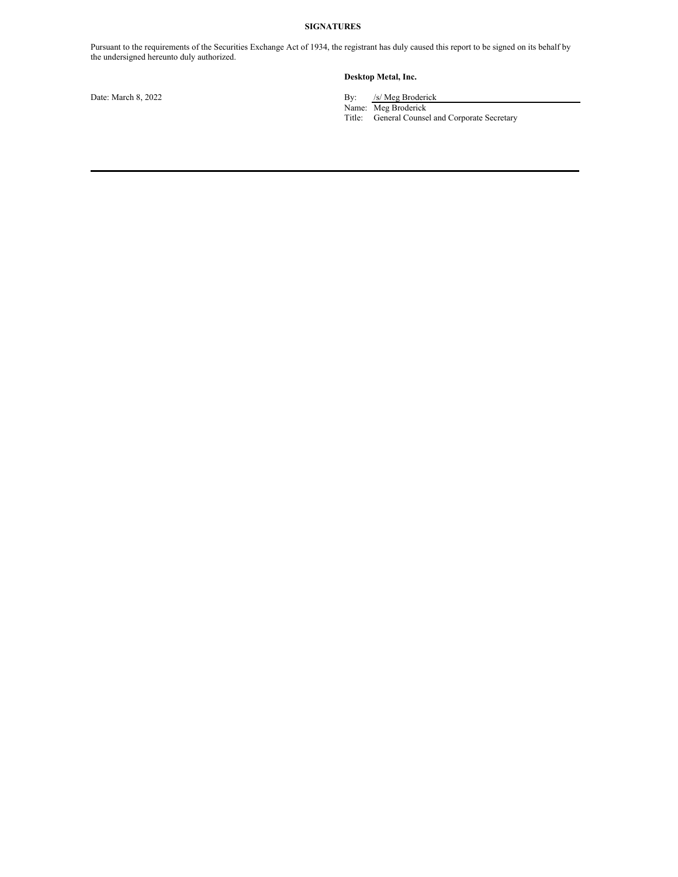#### **SIGNATURES**

Pursuant to the requirements of the Securities Exchange Act of 1934, the registrant has duly caused this report to be signed on its behalf by the undersigned hereunto duly authorized.

### **Desktop Metal, Inc.**

Date: March 8, 2022 By: /s/ Meg Broderick

Name: Meg Broderick

Title: General Counsel and Corporate Secretary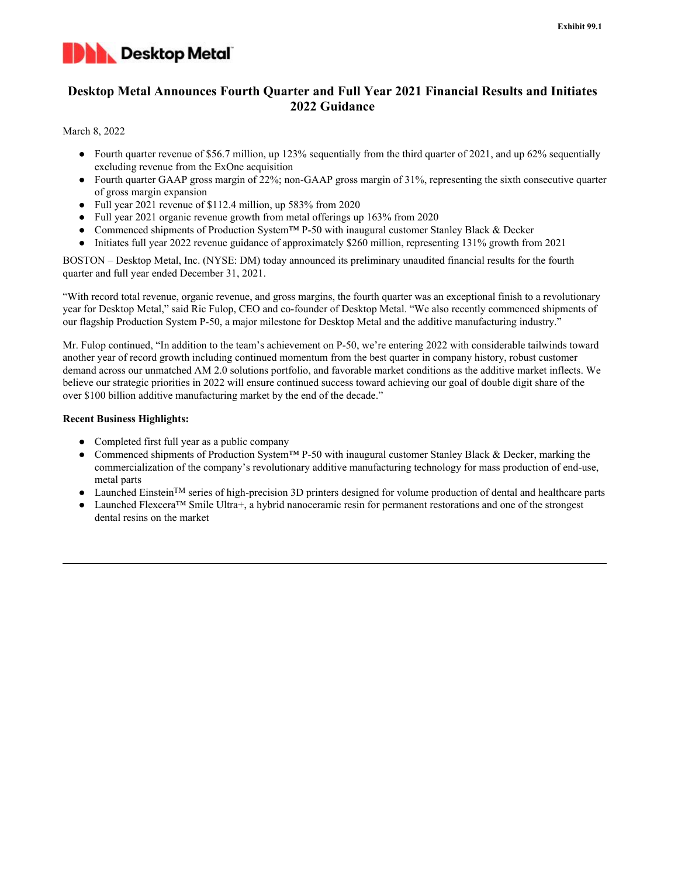

# **Desktop Metal Announces Fourth Quarter and Full Year 2021 Financial Results and Initiates 2022 Guidance**

#### March 8, 2022

- Fourth quarter revenue of \$56.7 million, up 123% sequentially from the third quarter of 2021, and up 62% sequentially excluding revenue from the ExOne acquisition
- Fourth quarter GAAP gross margin of 22%; non-GAAP gross margin of 31%, representing the sixth consecutive quarter of gross margin expansion
- Full year 2021 revenue of \$112.4 million, up 583% from 2020
- Full year 2021 organic revenue growth from metal offerings up 163% from 2020
- Commenced shipments of Production System™ P-50 with inaugural customer Stanley Black & Decker
- Initiates full year 2022 revenue guidance of approximately \$260 million, representing 131% growth from 2021

BOSTON – Desktop Metal, Inc. (NYSE: DM) today announced its preliminary unaudited financial results for the fourth quarter and full year ended December 31, 2021.

"With record total revenue, organic revenue, and gross margins, the fourth quarter was an exceptional finish to a revolutionary year for Desktop Metal," said Ric Fulop, CEO and co-founder of Desktop Metal. "We also recently commenced shipments of our flagship Production System P-50, a major milestone for Desktop Metal and the additive manufacturing industry."

Mr. Fulop continued, "In addition to the team's achievement on P-50, we're entering 2022 with considerable tailwinds toward another year of record growth including continued momentum from the best quarter in company history, robust customer demand across our unmatched AM 2.0 solutions portfolio, and favorable market conditions as the additive market inflects. We believe our strategic priorities in 2022 will ensure continued success toward achieving our goal of double digit share of the over \$100 billion additive manufacturing market by the end of the decade."

### **Recent Business Highlights:**

- Completed first full year as a public company
- Commenced shipments of Production System™ P-50 with inaugural customer Stanley Black & Decker, marking the commercialization of the company's revolutionary additive manufacturing technology for mass production of end-use, metal parts
- Launched Einstein<sup>TM</sup> series of high-precision 3D printers designed for volume production of dental and healthcare parts
- Launched Flexcera™ Smile Ultra+, a hybrid nanoceramic resin for permanent restorations and one of the strongest dental resins on the market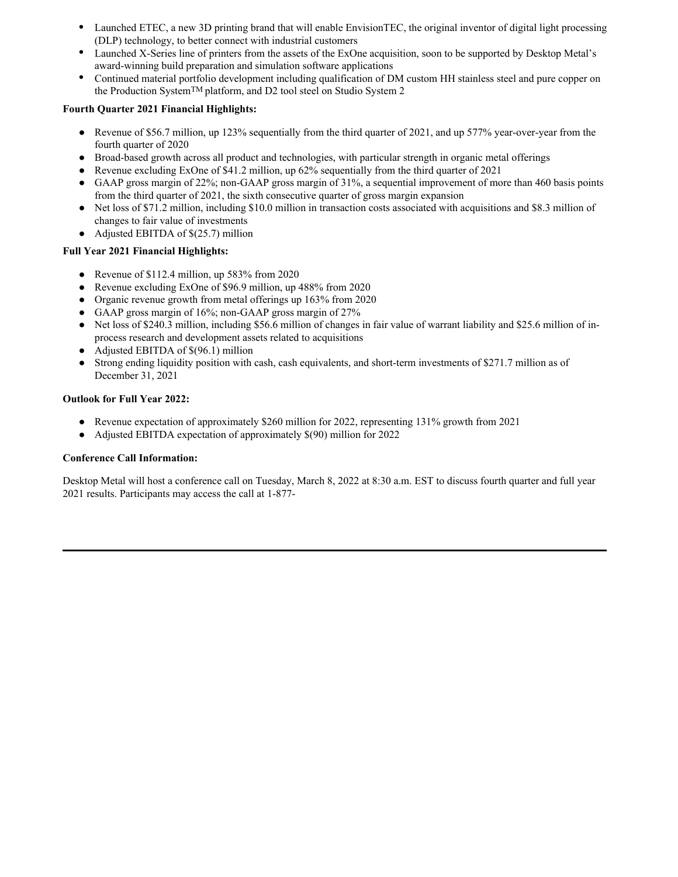- Launched ETEC, a new 3D printing brand that will enable EnvisionTEC, the original inventor of digital light processing (DLP) technology, to better connect with industrial customers
- Launched X-Series line of printers from the assets of the ExOne acquisition, soon to be supported by Desktop Metal's award-winning build preparation and simulation software applications
- Continued material portfolio development including qualification of DM custom HH stainless steel and pure copper on the Production SystemTM platform, and D2 tool steel on Studio System 2

## **Fourth Quarter 2021 Financial Highlights:**

- Revenue of \$56.7 million, up 123% sequentially from the third quarter of 2021, and up 577% year-over-year from the fourth quarter of 2020
- Broad-based growth across all product and technologies, with particular strength in organic metal offerings
- Revenue excluding ExOne of \$41.2 million, up 62% sequentially from the third quarter of 2021
- GAAP gross margin of 22%; non-GAAP gross margin of 31%, a sequential improvement of more than 460 basis points from the third quarter of 2021, the sixth consecutive quarter of gross margin expansion
- Net loss of \$71.2 million, including \$10.0 million in transaction costs associated with acquisitions and \$8.3 million of changes to fair value of investments
- Adjusted EBITDA of  $$(25.7)$  million

## **Full Year 2021 Financial Highlights:**

- Revenue of \$112.4 million, up 583% from 2020
- Revenue excluding ExOne of \$96.9 million, up 488% from 2020
- Organic revenue growth from metal offerings up 163% from 2020
- GAAP gross margin of  $16\%$ ; non-GAAP gross margin of  $27\%$
- Net loss of \$240.3 million, including \$56.6 million of changes in fair value of warrant liability and \$25.6 million of inprocess research and development assets related to acquisitions
- Adjusted EBITDA of  $$(96.1)$  million
- Strong ending liquidity position with cash, cash equivalents, and short-term investments of \$271.7 million as of December 31, 2021

## **Outlook for Full Year 2022:**

- Revenue expectation of approximately \$260 million for 2022, representing 131% growth from 2021
- Adjusted EBITDA expectation of approximately \$(90) million for 2022

## **Conference Call Information:**

Desktop Metal will host a conference call on Tuesday, March 8, 2022 at 8:30 a.m. EST to discuss fourth quarter and full year 2021 results. Participants may access the call at 1-877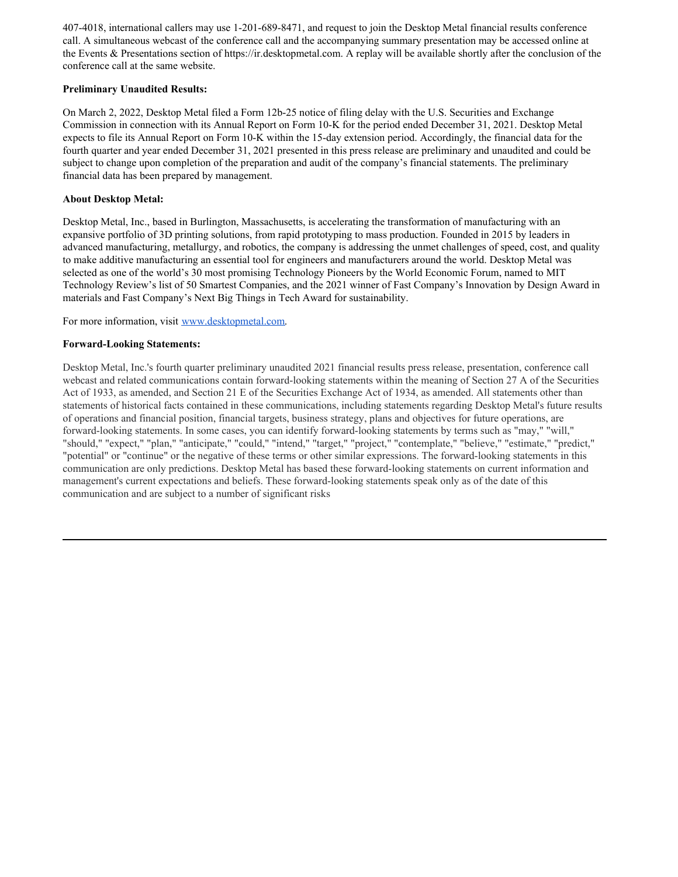407-4018, international callers may use 1-201-689-8471, and request to join the Desktop Metal financial results conference call. A simultaneous webcast of the conference call and the accompanying summary presentation may be accessed online at the Events & Presentations section of https://ir.desktopmetal.com. A replay will be available shortly after the conclusion of the conference call at the same website.

### **Preliminary Unaudited Results:**

On March 2, 2022, Desktop Metal filed a Form 12b-25 notice of filing delay with the U.S. Securities and Exchange Commission in connection with its Annual Report on Form 10-K for the period ended December 31, 2021. Desktop Metal expects to file its Annual Report on Form 10-K within the 15-day extension period. Accordingly, the financial data for the fourth quarter and year ended December 31, 2021 presented in this press release are preliminary and unaudited and could be subject to change upon completion of the preparation and audit of the company's financial statements. The preliminary financial data has been prepared by management.

### **About Desktop Metal:**

Desktop Metal, Inc., based in Burlington, Massachusetts, is accelerating the transformation of manufacturing with an expansive portfolio of 3D printing solutions, from rapid prototyping to mass production. Founded in 2015 by leaders in advanced manufacturing, metallurgy, and robotics, the company is addressing the unmet challenges of speed, cost, and quality to make additive manufacturing an essential tool for engineers and manufacturers around the world. Desktop Metal was selected as one of the world's 30 most promising Technology Pioneers by the World Economic Forum, named to MIT Technology Review's list of 50 Smartest Companies, and the 2021 winner of Fast Company's Innovation by Design Award in materials and Fast Company's Next Big Things in Tech Award for sustainability.

For more information, visit www.desktopmetal.com.

## **Forward-Looking Statements:**

Desktop Metal, Inc.'s fourth quarter preliminary unaudited 2021 financial results press release, presentation, conference call webcast and related communications contain forward-looking statements within the meaning of Section 27 A of the Securities Act of 1933, as amended, and Section 21 E of the Securities Exchange Act of 1934, as amended. All statements other than statements of historical facts contained in these communications, including statements regarding Desktop Metal's future results of operations and financial position, financial targets, business strategy, plans and objectives for future operations, are forward-looking statements. In some cases, you can identify forward-looking statements by terms such as "may," "will," "should," "expect," "plan," "anticipate," "could," "intend," "target," "project," "contemplate," "believe," "estimate," "predict," "potential" or "continue" or the negative of these terms or other similar expressions. The forward-looking statements in this communication are only predictions. Desktop Metal has based these forward-looking statements on current information and management's current expectations and beliefs. These forward-looking statements speak only as of the date of this communication and are subject to a number of significant risks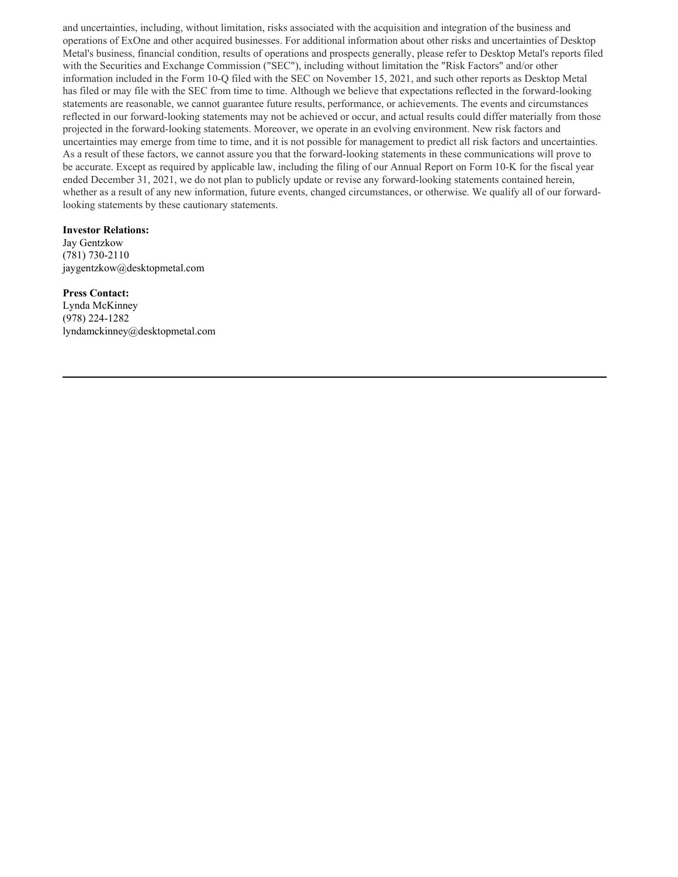and uncertainties, including, without limitation, risks associated with the acquisition and integration of the business and operations of ExOne and other acquired businesses. For additional information about other risks and uncertainties of Desktop Metal's business, financial condition, results of operations and prospects generally, please refer to Desktop Metal's reports filed with the Securities and Exchange Commission ("SEC"), including without limitation the "Risk Factors" and/or other information included in the Form 10-Q filed with the SEC on November 15, 2021, and such other reports as Desktop Metal has filed or may file with the SEC from time to time. Although we believe that expectations reflected in the forward-looking statements are reasonable, we cannot guarantee future results, performance, or achievements. The events and circumstances reflected in our forward-looking statements may not be achieved or occur, and actual results could differ materially from those projected in the forward-looking statements. Moreover, we operate in an evolving environment. New risk factors and uncertainties may emerge from time to time, and it is not possible for management to predict all risk factors and uncertainties. As a result of these factors, we cannot assure you that the forward-looking statements in these communications will prove to be accurate. Except as required by applicable law, including the filing of our Annual Report on Form 10-K for the fiscal year ended December 31, 2021, we do not plan to publicly update or revise any forward-looking statements contained herein, whether as a result of any new information, future events, changed circumstances, or otherwise. We qualify all of our forwardlooking statements by these cautionary statements.

#### **Investor Relations:**

Jay Gentzkow (781) 730-2110 jaygentzkow@desktopmetal.com

### **Press Contact:**

Lynda McKinney (978) 224-1282 lyndamckinney@desktopmetal.com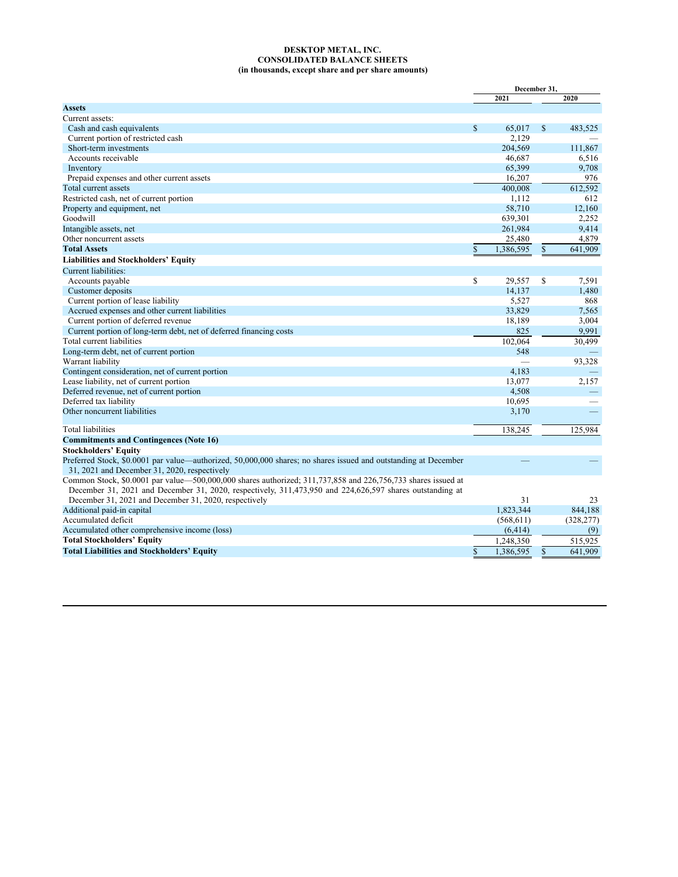#### **DESKTOP METAL, INC. CONSOLIDATED BALANCE SHEETS (in thousands, except share and per share amounts)**

|                                                                                                                 | December 31. |            |               |            |
|-----------------------------------------------------------------------------------------------------------------|--------------|------------|---------------|------------|
|                                                                                                                 |              | 2021       |               | 2020       |
| <b>Assets</b>                                                                                                   |              |            |               |            |
| Current assets:                                                                                                 |              |            |               |            |
| Cash and cash equivalents                                                                                       | $\mathbb{S}$ | 65,017     | \$            | 483,525    |
| Current portion of restricted cash                                                                              |              | 2,129      |               |            |
| Short-term investments                                                                                          |              | 204,569    |               | 111,867    |
| Accounts receivable                                                                                             |              | 46,687     |               | 6,516      |
| Inventory                                                                                                       |              | 65,399     |               | 9,708      |
| Prepaid expenses and other current assets                                                                       |              | 16,207     |               | 976        |
| Total current assets                                                                                            |              | 400,008    |               | 612,592    |
| Restricted cash, net of current portion                                                                         |              | 1,112      |               | 612        |
| Property and equipment, net                                                                                     |              | 58,710     |               | 12,160     |
| Goodwill                                                                                                        |              | 639,301    |               | 2,252      |
| Intangible assets, net                                                                                          |              | 261,984    |               | 9,414      |
| Other noncurrent assets                                                                                         |              | 25,480     |               | 4,879      |
| <b>Total Assets</b>                                                                                             | $\mathbf S$  | 1,386,595  | \$            | 641,909    |
| <b>Liabilities and Stockholders' Equity</b>                                                                     |              |            |               |            |
|                                                                                                                 |              |            |               |            |
| Current liabilities:                                                                                            |              |            |               |            |
| Accounts payable                                                                                                | \$           | 29,557     | <sup>\$</sup> | 7,591      |
| Customer deposits                                                                                               |              | 14,137     |               | 1.480      |
| Current portion of lease liability                                                                              |              | 5,527      |               | 868        |
| Accrued expenses and other current liabilities                                                                  |              | 33,829     |               | 7.565      |
| Current portion of deferred revenue                                                                             |              | 18,189     |               | 3,004      |
| Current portion of long-term debt, net of deferred financing costs                                              |              | 825        |               | 9.991      |
| Total current liabilities                                                                                       |              | 102,064    |               | 30,499     |
| Long-term debt, net of current portion                                                                          |              | 548        |               |            |
| Warrant liability                                                                                               |              |            |               | 93,328     |
| Contingent consideration, net of current portion                                                                |              | 4,183      |               |            |
| Lease liability, net of current portion                                                                         |              | 13,077     |               | 2,157      |
| Deferred revenue, net of current portion                                                                        |              | 4,508      |               |            |
| Deferred tax liability                                                                                          |              | 10.695     |               |            |
| Other noncurrent liabilities                                                                                    |              | 3,170      |               |            |
|                                                                                                                 |              |            |               |            |
| <b>Total liabilities</b>                                                                                        |              | 138,245    |               | 125,984    |
| <b>Commitments and Contingences (Note 16)</b>                                                                   |              |            |               |            |
| <b>Stockholders' Equity</b>                                                                                     |              |            |               |            |
| Preferred Stock, \$0.0001 par value—authorized, 50,000,000 shares; no shares issued and outstanding at December |              |            |               |            |
| 31, 2021 and December 31, 2020, respectively                                                                    |              |            |               |            |
| Common Stock, \$0.0001 par value—500,000,000 shares authorized; 311,737,858 and 226,756,733 shares issued at    |              |            |               |            |
| December 31, 2021 and December 31, 2020, respectively, 311,473,950 and 224,626,597 shares outstanding at        |              |            |               |            |
| December 31, 2021 and December 31, 2020, respectively                                                           |              | 31         |               | 23         |
| Additional paid-in capital                                                                                      |              | 1,823,344  |               | 844,188    |
| Accumulated deficit                                                                                             |              | (568, 611) |               | (328, 277) |
| Accumulated other comprehensive income (loss)                                                                   |              | (6, 414)   |               | (9)        |
| <b>Total Stockholders' Equity</b>                                                                               |              | 1,248,350  |               | 515,925    |
| <b>Total Liabilities and Stockholders' Equity</b>                                                               | $\mathbf{s}$ | 1.386.595  | \$            | 641.909    |
|                                                                                                                 |              |            |               |            |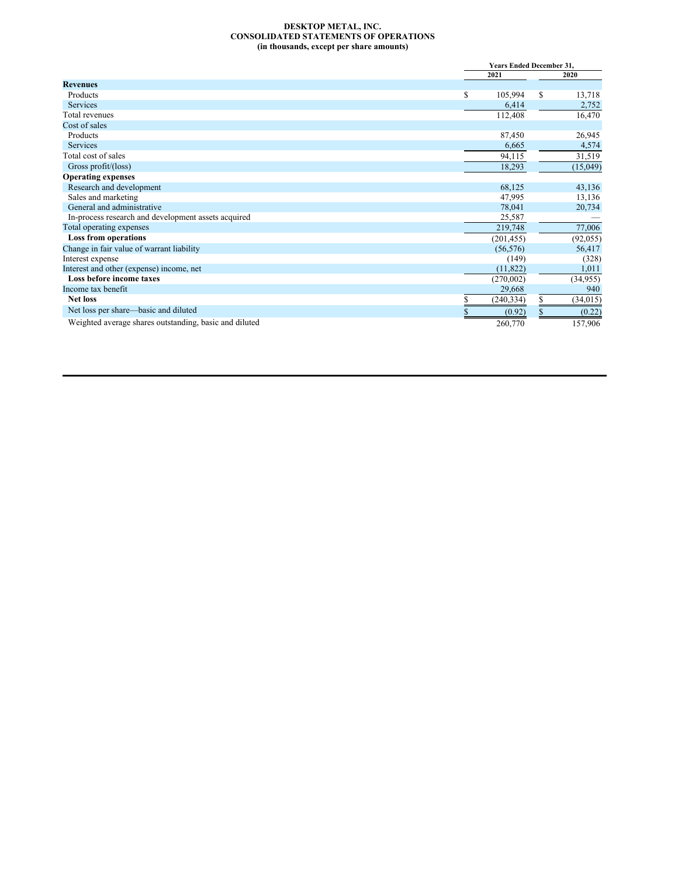#### <span id="page-8-0"></span>**DESKTOP METAL, INC. CONSOLIDATED STATEMENTS OF OPERATIONS (in thousands, except per share amounts)**

|                                                        |      | <b>Years Ended December 31,</b> |           |  |
|--------------------------------------------------------|------|---------------------------------|-----------|--|
|                                                        | 2021 |                                 | 2020      |  |
| <b>Revenues</b>                                        |      |                                 |           |  |
| Products                                               | \$   | 105,994<br>\$                   | 13,718    |  |
| <b>Services</b>                                        |      | 6,414                           | 2,752     |  |
| Total revenues                                         |      | 112,408                         | 16,470    |  |
| Cost of sales                                          |      |                                 |           |  |
| Products                                               |      | 87,450                          | 26,945    |  |
| <b>Services</b>                                        |      | 6,665                           | 4,574     |  |
| Total cost of sales                                    |      | 94,115                          | 31,519    |  |
| Gross profit/ $(\text{loss})$                          |      | 18,293                          | (15,049)  |  |
| <b>Operating expenses</b>                              |      |                                 |           |  |
| Research and development                               |      | 68,125                          | 43,136    |  |
| Sales and marketing                                    |      | 47,995                          | 13,136    |  |
| General and administrative                             |      | 78,041                          | 20,734    |  |
| In-process research and development assets acquired    |      | 25,587                          |           |  |
| Total operating expenses                               |      | 219,748                         | 77,006    |  |
| <b>Loss from operations</b>                            |      | (201, 455)                      | (92, 055) |  |
| Change in fair value of warrant liability              |      | (56, 576)                       | 56,417    |  |
| Interest expense                                       |      | (149)                           | (328)     |  |
| Interest and other (expense) income, net               |      | (11, 822)                       | 1,011     |  |
| Loss before income taxes                               |      | (270,002)                       | (34, 955) |  |
| Income tax benefit                                     |      | 29,668                          | 940       |  |
| <b>Net loss</b>                                        |      | \$<br>(240,334)                 | (34,015)  |  |
| Net loss per share—basic and diluted                   |      | \$<br>(0.92)                    | (0.22)    |  |
| Weighted average shares outstanding, basic and diluted |      | 260,770                         | 157,906   |  |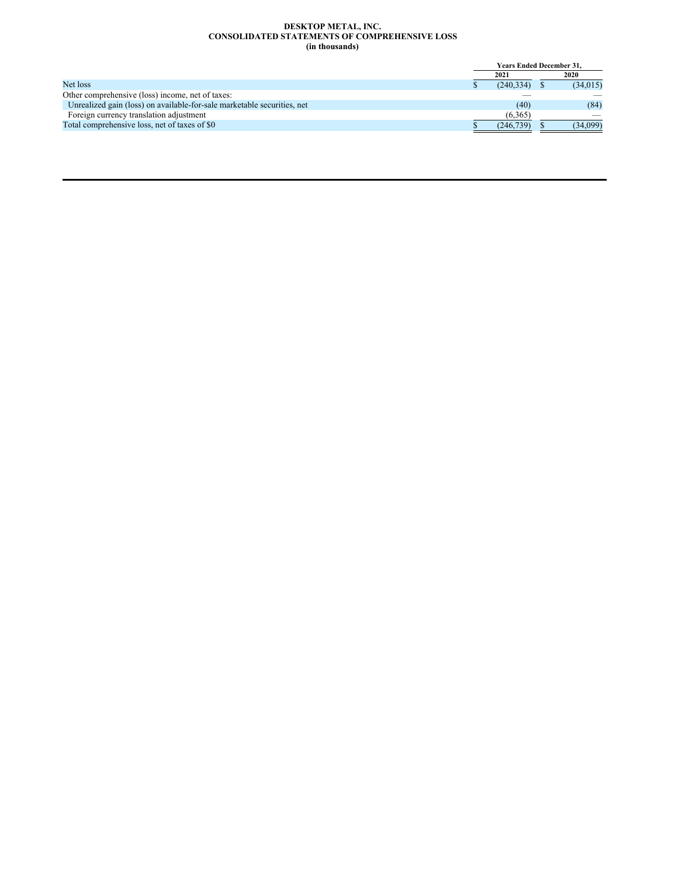#### **DESKTOP METAL, INC. CONSOLIDATED STATEMENTS OF COMPREHENSIVE LOSS (in thousands)**

|                                                                         | <b>Years Ended December 31.</b> |           |  |           |
|-------------------------------------------------------------------------|---------------------------------|-----------|--|-----------|
|                                                                         |                                 | 2021      |  | 2020      |
| Net loss                                                                |                                 | (240.334) |  | (34, 015) |
| Other comprehensive (loss) income, net of taxes:                        |                                 |           |  |           |
| Unrealized gain (loss) on available-for-sale marketable securities, net |                                 | (40)      |  | (84)      |
| Foreign currency translation adjustment                                 |                                 | (6.365)   |  |           |
| Total comprehensive loss, net of taxes of \$0                           |                                 | (246.739) |  | (34,099)  |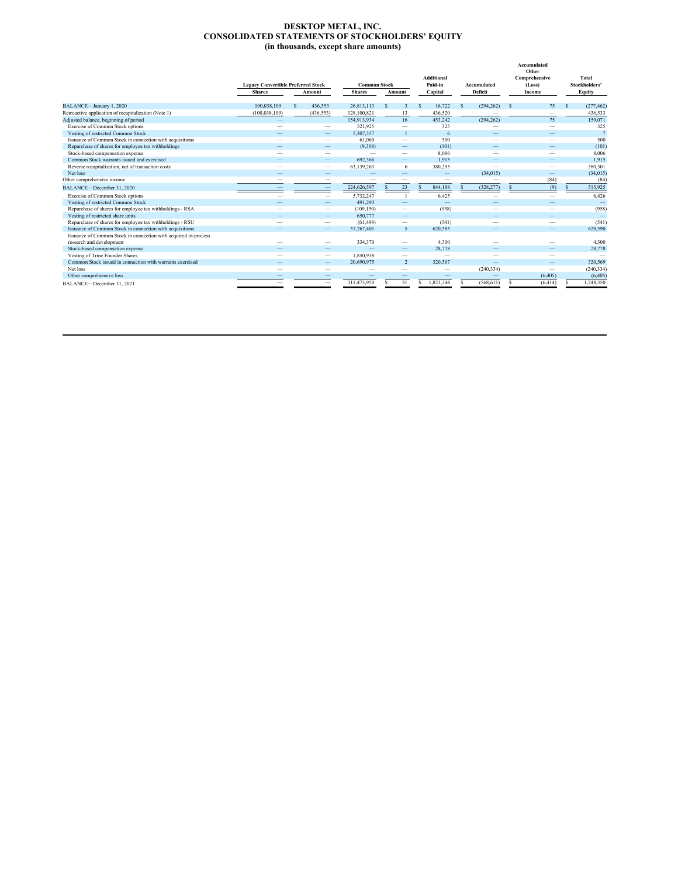#### **DESKTOP METAL, INC. CONSOLIDATED STATEMENTS OF STOCKHOLDERS' EQUITY (in thousands, except share amounts)**

|                                                                 | <b>Legacy Convertible Preferred Stock</b><br><b>Shares</b> | Amount                   | <b>Common Stock</b><br><b>Shares</b> |   |                          |   |                          | Amount       |                          |  |          |   |                |  |  |  |  |  | Additional<br>Paid-in<br>Capital |  |  |  | Accumulated<br>Deficit |  | Accumulated<br>Other<br>Comprehensive<br>(Loss)<br>Income |  | Total<br>Stockholders'<br>Equity |
|-----------------------------------------------------------------|------------------------------------------------------------|--------------------------|--------------------------------------|---|--------------------------|---|--------------------------|--------------|--------------------------|--|----------|---|----------------|--|--|--|--|--|----------------------------------|--|--|--|------------------------|--|-----------------------------------------------------------|--|----------------------------------|
|                                                                 |                                                            |                          |                                      |   |                          |   |                          |              |                          |  |          |   |                |  |  |  |  |  |                                  |  |  |  |                        |  |                                                           |  |                                  |
| BALANCE-January 1, 2020                                         | 100.038.109                                                | 436,553                  | 26,813,113                           | S | 3                        | S | 16.722                   | <sup>S</sup> | (294, 262)               |  | 75       | S | (277, 462)     |  |  |  |  |  |                                  |  |  |  |                        |  |                                                           |  |                                  |
| Retroactive application of recapitalization (Note 1)            | (100, 038, 109)                                            | (436, 553)               | 128,100,821                          |   | 13                       |   | 436,520                  |              |                          |  | -        |   | 436,533        |  |  |  |  |  |                                  |  |  |  |                        |  |                                                           |  |                                  |
| Adjusted balance, beginning of period                           |                                                            |                          | 154.913.934                          |   | 16                       |   | 453,242                  |              | (294, 262)               |  | 75       |   | 159,071        |  |  |  |  |  |                                  |  |  |  |                        |  |                                                           |  |                                  |
| Exercise of Common Stock options                                |                                                            | $\overline{\phantom{a}}$ | 521,925                              |   | $\overline{\phantom{a}}$ |   | 325                      |              | $\overline{\phantom{a}}$ |  | -        |   | 325            |  |  |  |  |  |                                  |  |  |  |                        |  |                                                           |  |                                  |
| Vesting of restricted Common Stock                              |                                                            | $\overline{\phantom{a}}$ | 5,307,357                            |   |                          |   | 6                        |              |                          |  |          |   | $\overline{7}$ |  |  |  |  |  |                                  |  |  |  |                        |  |                                                           |  |                                  |
| Issuance of Common Stock in connection with acquisitions        |                                                            | $\overline{\phantom{a}}$ | 61.060                               |   | $\overline{\phantom{a}}$ |   | 500                      |              |                          |  |          |   | 500            |  |  |  |  |  |                                  |  |  |  |                        |  |                                                           |  |                                  |
| Repurchase of shares for employee tax withholdings              |                                                            | $\overline{\phantom{a}}$ | (9,308)                              |   |                          |   | (101)                    |              |                          |  |          |   | (101)          |  |  |  |  |  |                                  |  |  |  |                        |  |                                                           |  |                                  |
| Stock-based compensation expense                                |                                                            | -                        | $\overline{\phantom{a}}$             |   |                          |   | 8,006                    |              |                          |  |          |   | 8,006          |  |  |  |  |  |                                  |  |  |  |                        |  |                                                           |  |                                  |
| Common Stock warrants issued and exercised                      |                                                            |                          | 692.366                              |   |                          |   | 1.915                    |              |                          |  |          |   | 1,915          |  |  |  |  |  |                                  |  |  |  |                        |  |                                                           |  |                                  |
| Reverse recapitalization, net of transaction costs              |                                                            | $\overline{\phantom{a}}$ | 63,139,263                           |   | 6                        |   | 380,295                  |              | $\overline{\phantom{a}}$ |  | -        |   | 380,301        |  |  |  |  |  |                                  |  |  |  |                        |  |                                                           |  |                                  |
| Net loss                                                        |                                                            | -                        |                                      |   |                          |   | -                        |              | (34, 015)                |  |          |   | (34, 015)      |  |  |  |  |  |                                  |  |  |  |                        |  |                                                           |  |                                  |
| Other comprehensive income                                      |                                                            |                          |                                      |   |                          |   | -                        |              |                          |  | (84)     |   | (84)           |  |  |  |  |  |                                  |  |  |  |                        |  |                                                           |  |                                  |
| BALANCE-December 31, 2020                                       |                                                            |                          | 224,626,597                          |   | 23                       |   | 844,188                  |              | (328, 277)               |  | (9)      |   | 515,925        |  |  |  |  |  |                                  |  |  |  |                        |  |                                                           |  |                                  |
| Exercise of Common Stock options                                |                                                            | -                        | 5,732,247                            |   |                          |   | 6,425                    |              | -                        |  | -        |   | 6,426          |  |  |  |  |  |                                  |  |  |  |                        |  |                                                           |  |                                  |
| Vesting of restricted Common Stock                              |                                                            |                          | 491.293                              |   |                          |   | $\overline{\phantom{a}}$ |              |                          |  |          |   |                |  |  |  |  |  |                                  |  |  |  |                        |  |                                                           |  |                                  |
| Repurchase of shares for employee tax withholdings - RSA        |                                                            |                          | (109, 150)                           |   |                          |   | (958)                    |              |                          |  |          |   | (958)          |  |  |  |  |  |                                  |  |  |  |                        |  |                                                           |  |                                  |
| Vesting of restricted share units                               |                                                            | -                        | 650,777                              |   |                          |   | $\sim$                   |              |                          |  |          |   |                |  |  |  |  |  |                                  |  |  |  |                        |  |                                                           |  |                                  |
| Repurchase of shares for employee tax withholdings - RSU        |                                                            | $\qquad \qquad$          | (61, 498)                            |   | $\overline{\phantom{a}}$ |   | (541)                    |              |                          |  |          |   | (541)          |  |  |  |  |  |                                  |  |  |  |                        |  |                                                           |  |                                  |
| Issuance of Common Stock in connection with acquisitions        |                                                            | $\qquad \qquad - \qquad$ | 57,267,401                           |   | $\overline{5}$           |   | 620,585                  |              |                          |  |          |   | 620,590        |  |  |  |  |  |                                  |  |  |  |                        |  |                                                           |  |                                  |
| Issuance of Common Stock in connection with acquired in-process |                                                            |                          |                                      |   |                          |   |                          |              |                          |  |          |   |                |  |  |  |  |  |                                  |  |  |  |                        |  |                                                           |  |                                  |
| research and development                                        |                                                            | -                        | 334,370                              |   |                          |   | 4.300                    |              |                          |  |          |   | 4.300          |  |  |  |  |  |                                  |  |  |  |                        |  |                                                           |  |                                  |
| Stock-based compensation expense                                |                                                            |                          |                                      |   |                          |   | 28,778                   |              |                          |  |          |   | 28,778         |  |  |  |  |  |                                  |  |  |  |                        |  |                                                           |  |                                  |
| Vesting of Trine Founder Shares                                 |                                                            | $\qquad \qquad$          | 1,850,938                            |   | $\overline{\phantom{a}}$ |   | $\overline{\phantom{a}}$ |              |                          |  | -        |   |                |  |  |  |  |  |                                  |  |  |  |                        |  |                                                           |  |                                  |
| Common Stock issued in connection with warrants exercised       |                                                            | $\overline{\phantom{a}}$ | 20,690,975                           |   | $\overline{2}$           |   | 320.567                  |              |                          |  | -        |   | 320,569        |  |  |  |  |  |                                  |  |  |  |                        |  |                                                           |  |                                  |
| Net loss                                                        |                                                            | -                        |                                      |   |                          |   | -                        |              | (240, 334)               |  | -        |   | (240, 334)     |  |  |  |  |  |                                  |  |  |  |                        |  |                                                           |  |                                  |
| Other comprehensive loss                                        |                                                            |                          |                                      |   |                          |   |                          |              |                          |  | (6, 405) |   | (6, 405)       |  |  |  |  |  |                                  |  |  |  |                        |  |                                                           |  |                                  |
| BALANCE-December 31, 2021                                       |                                                            |                          | 311,473,950                          |   | 31                       | s | 1,823,344                |              | (568, 611)               |  | (6, 414) |   | 1,248,350      |  |  |  |  |  |                                  |  |  |  |                        |  |                                                           |  |                                  |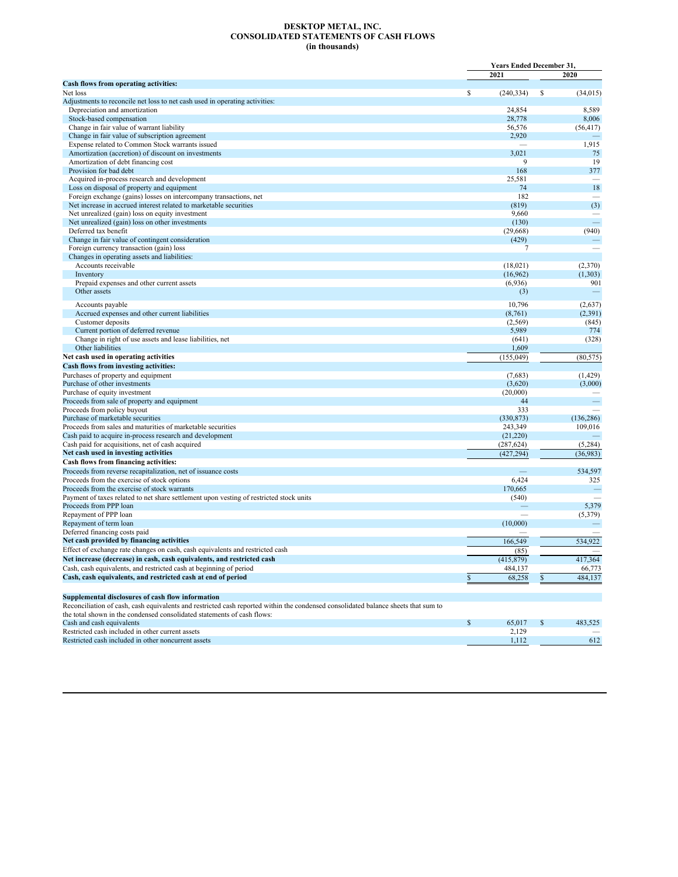#### **DESKTOP METAL, INC. CONSOLIDATED STATEMENTS OF CASH FLOWS (in thousands)**

|                                                                                                                                                                                         | <b>Years Ended December 31.</b> |                |    |             |
|-----------------------------------------------------------------------------------------------------------------------------------------------------------------------------------------|---------------------------------|----------------|----|-------------|
|                                                                                                                                                                                         |                                 | 2021           |    | 2020        |
| Cash flows from operating activities:                                                                                                                                                   |                                 |                |    |             |
| Net loss                                                                                                                                                                                | \$                              | (240, 334)     | \$ | (34, 015)   |
| Adjustments to reconcile net loss to net cash used in operating activities:                                                                                                             |                                 |                |    |             |
| Depreciation and amortization                                                                                                                                                           |                                 | 24,854         |    | 8,589       |
| Stock-based compensation                                                                                                                                                                |                                 | 28,778         |    | 8,006       |
| Change in fair value of warrant liability                                                                                                                                               |                                 | 56,576         |    | (56, 417)   |
| Change in fair value of subscription agreement                                                                                                                                          |                                 | 2,920          |    |             |
| Expense related to Common Stock warrants issued                                                                                                                                         |                                 | 3,021          |    | 1,915<br>75 |
| Amortization (accretion) of discount on investments<br>Amortization of debt financing cost                                                                                              |                                 | 9              |    | 19          |
| Provision for bad debt                                                                                                                                                                  |                                 | 168            |    | 377         |
| Acquired in-process research and development                                                                                                                                            |                                 | 25,581         |    |             |
| Loss on disposal of property and equipment                                                                                                                                              |                                 | 74             |    | 18          |
| Foreign exchange (gains) losses on intercompany transactions, net                                                                                                                       |                                 | 182            |    |             |
| Net increase in accrued interest related to marketable securities                                                                                                                       |                                 | (819)          |    | (3)         |
| Net unrealized (gain) loss on equity investment                                                                                                                                         |                                 | 9,660          |    |             |
| Net unrealized (gain) loss on other investments                                                                                                                                         |                                 | (130)          |    | 二           |
| Deferred tax benefit                                                                                                                                                                    |                                 | (29, 668)      |    | (940)       |
| Change in fair value of contingent consideration                                                                                                                                        |                                 | (429)          |    |             |
| Foreign currency transaction (gain) loss                                                                                                                                                |                                 | $\overline{7}$ |    |             |
| Changes in operating assets and liabilities:                                                                                                                                            |                                 |                |    |             |
| Accounts receivable                                                                                                                                                                     |                                 | (18,021)       |    | (2,370)     |
| Inventory                                                                                                                                                                               |                                 | (16,962)       |    | (1,303)     |
| Prepaid expenses and other current assets                                                                                                                                               |                                 | (6,936)        |    | 901         |
| Other assets                                                                                                                                                                            |                                 | (3)            |    |             |
| Accounts payable                                                                                                                                                                        |                                 | 10,796         |    | (2,637)     |
| Accrued expenses and other current liabilities                                                                                                                                          |                                 | (8,761)        |    | (2, 391)    |
| Customer deposits                                                                                                                                                                       |                                 | (2,569)        |    | (845)       |
| Current portion of deferred revenue                                                                                                                                                     |                                 | 5,989          |    | 774         |
| Change in right of use assets and lease liabilities, net                                                                                                                                |                                 | (641)          |    | (328)       |
| Other liabilities                                                                                                                                                                       |                                 | 1,609          |    |             |
| Net cash used in operating activities                                                                                                                                                   |                                 | (155, 049)     |    | (80, 575)   |
| Cash flows from investing activities:                                                                                                                                                   |                                 |                |    |             |
| Purchases of property and equipment                                                                                                                                                     |                                 | (7,683)        |    | (1, 429)    |
| Purchase of other investments                                                                                                                                                           |                                 | (3,620)        |    | (3,000)     |
| Purchase of equity investment                                                                                                                                                           |                                 | (20,000)       |    |             |
| Proceeds from sale of property and equipment<br>Proceeds from policy buyout                                                                                                             |                                 | 44<br>333      |    |             |
| Purchase of marketable securities                                                                                                                                                       |                                 | (330, 873)     |    | (136, 286)  |
| Proceeds from sales and maturities of marketable securities                                                                                                                             |                                 | 243,349        |    | 109,016     |
| Cash paid to acquire in-process research and development                                                                                                                                |                                 | (21,220)       |    |             |
| Cash paid for acquisitions, net of cash acquired                                                                                                                                        |                                 | (287, 624)     |    | (5,284)     |
| Net cash used in investing activities                                                                                                                                                   |                                 | (427, 294)     |    | (36,983)    |
| Cash flows from financing activities:                                                                                                                                                   |                                 |                |    |             |
| Proceeds from reverse recapitalization, net of issuance costs                                                                                                                           |                                 |                |    | 534,597     |
| Proceeds from the exercise of stock options                                                                                                                                             |                                 | 6,424          |    | 325         |
| Proceeds from the exercise of stock warrants                                                                                                                                            |                                 | 170,665        |    | -           |
| Payment of taxes related to net share settlement upon vesting of restricted stock units                                                                                                 |                                 | (540)          |    |             |
| Proceeds from PPP loan                                                                                                                                                                  |                                 |                |    | 5,379       |
| Repayment of PPP loan                                                                                                                                                                   |                                 |                |    | (5,379)     |
| Repayment of term loan                                                                                                                                                                  |                                 | (10,000)       |    |             |
| Deferred financing costs paid                                                                                                                                                           |                                 |                |    |             |
| Net cash provided by financing activities                                                                                                                                               |                                 | 166,549        |    | 534,922     |
| Effect of exchange rate changes on cash, cash equivalents and restricted cash                                                                                                           |                                 | (85)           |    |             |
| Net increase (decrease) in cash, cash equivalents, and restricted cash                                                                                                                  |                                 | (415,879)      |    | 417,364     |
| Cash, cash equivalents, and restricted cash at beginning of period                                                                                                                      |                                 | 484,137        |    | 66,773      |
| Cash, cash equivalents, and restricted cash at end of period                                                                                                                            | \$                              | 68,258         | \$ | 484,137     |
|                                                                                                                                                                                         |                                 |                |    |             |
| Supplemental disclosures of cash flow information<br>Reconciliation of cash, cash equivalents and restricted cash reported within the condensed consolidated balance sheets that sum to |                                 |                |    |             |
| the total shown in the condensed consolidated statements of cash flows:                                                                                                                 |                                 |                |    |             |
| Cash and cash equivalents                                                                                                                                                               | \$                              | 65,017         | \$ | 483,525     |
| Restricted cash included in other current assets                                                                                                                                        |                                 | 2,129          |    |             |
| Restricted cash included in other noncurrent assets                                                                                                                                     |                                 | 1,112          |    | 612         |
|                                                                                                                                                                                         |                                 |                |    |             |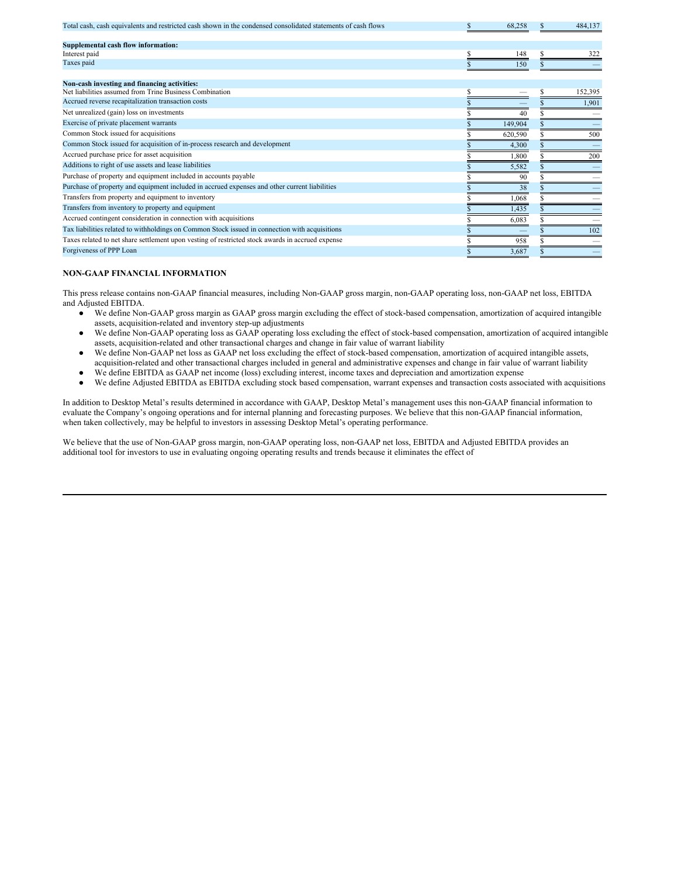| Total cash, cash equivalents and restricted cash shown in the condensed consolidated statements of cash flows | 68.258  | 484,137 |
|---------------------------------------------------------------------------------------------------------------|---------|---------|
| Supplemental cash flow information:                                                                           |         |         |
| Interest paid                                                                                                 | 148     | 322     |
| Taxes paid                                                                                                    | 150     |         |
|                                                                                                               |         |         |
| Non-cash investing and financing activities:                                                                  |         |         |
| Net liabilities assumed from Trine Business Combination                                                       |         | 152,395 |
| Accrued reverse recapitalization transaction costs                                                            |         | 1.901   |
| Net unrealized (gain) loss on investments                                                                     | 40      |         |
| Exercise of private placement warrants                                                                        | 149,904 |         |
| Common Stock issued for acquisitions                                                                          | 620,590 | 500     |
| Common Stock issued for acquisition of in-process research and development                                    | 4,300   |         |
| Accrued purchase price for asset acquisition                                                                  | 1,800   | 200     |
| Additions to right of use assets and lease liabilities                                                        | 5,582   |         |
| Purchase of property and equipment included in accounts payable                                               | 90      |         |
| Purchase of property and equipment included in accrued expenses and other current liabilities                 | 38      |         |
| Transfers from property and equipment to inventory                                                            | 1.068   |         |
| Transfers from inventory to property and equipment                                                            | 1,435   |         |
| Accrued contingent consideration in connection with acquisitions                                              | 6,083   |         |
| Tax liabilities related to withholdings on Common Stock issued in connection with acquisitions                |         | 102     |
| Taxes related to net share settlement upon vesting of restricted stock awards in accrued expense              | 958     |         |
| Forgiveness of PPP Loan                                                                                       | 3,687   |         |

#### **NON-GAAP FINANCIAL INFORMATION**

This press release contains non-GAAP financial measures, including Non-GAAP gross margin, non-GAAP operating loss, non-GAAP net loss, EBITDA and Adjusted EBITDA.

- We define Non-GAAP gross margin as GAAP gross margin excluding the effect of stock-based compensation, amortization of acquired intangible assets, acquisition-related and inventory step-up adjustments
- We define Non-GAAP operating loss as GAAP operating loss excluding the effect of stock-based compensation, amortization of acquired intangible assets, acquisition-related and other transactional charges and change in fair value of warrant liability
- We define Non-GAAP net loss as GAAP net loss excluding the effect of stock-based compensation, amortization of acquired intangible assets, acquisition-related and other transactional charges included in general and administrative expenses and change in fair value of warrant liability
- We define EBITDA as GAAP net income (loss) excluding interest, income taxes and depreciation and amortization expense
- We define Adjusted EBITDA as EBITDA excluding stock based compensation, warrant expenses and transaction costs associated with acquisitions

In addition to Desktop Metal's results determined in accordance with GAAP, Desktop Metal's management uses this non-GAAP financial information to evaluate the Company's ongoing operations and for internal planning and forecasting purposes. We believe that this non-GAAP financial information, when taken collectively, may be helpful to investors in assessing Desktop Metal's operating performance.

We believe that the use of Non-GAAP gross margin, non-GAAP operating loss, non-GAAP net loss, EBITDA and Adjusted EBITDA provides an additional tool for investors to use in evaluating ongoing operating results and trends because it eliminates the effect of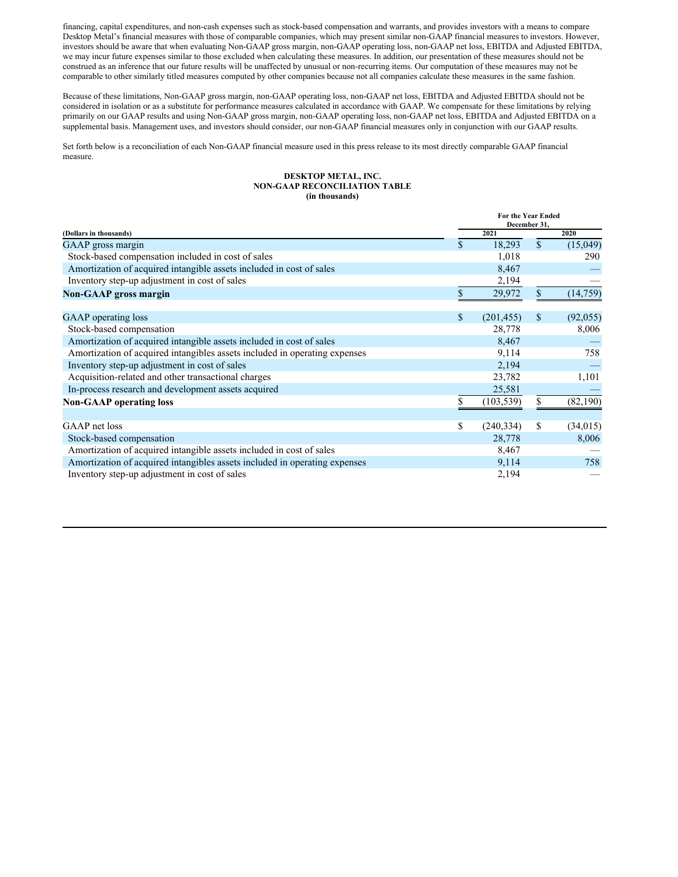financing, capital expenditures, and non-cash expenses such as stock-based compensation and warrants, and provides investors with a means to compare Desktop Metal's financial measures with those of comparable companies, which may present similar non-GAAP financial measures to investors. However, investors should be aware that when evaluating Non-GAAP gross margin, non-GAAP operating loss, non-GAAP net loss, EBITDA and Adjusted EBITDA, we may incur future expenses similar to those excluded when calculating these measures. In addition, our presentation of these measures should not be construed as an inference that our future results will be unaffected by unusual or non-recurring items. Our computation of these measures may not be comparable to other similarly titled measures computed by other companies because not all companies calculate these measures in the same fashion.

Because of these limitations, Non-GAAP gross margin, non-GAAP operating loss, non-GAAP net loss, EBITDA and Adjusted EBITDA should not be considered in isolation or as a substitute for performance measures calculated in accordance with GAAP. We compensate for these limitations by relying primarily on our GAAP results and using Non-GAAP gross margin, non-GAAP operating loss, non-GAAP net loss, EBITDA and Adjusted EBITDA on a supplemental basis. Management uses, and investors should consider, our non-GAAP financial measures only in conjunction with our GAAP results.

Set forth below is a reconciliation of each Non-GAAP financial measure used in this press release to its most directly comparable GAAP financial measure.

#### **DESKTOP METAL, INC. NON-GAAP RECONCILIATION TABLE (in thousands)**

|                                                                            |     | For the Year Ended<br>December 31, |              |           |  |
|----------------------------------------------------------------------------|-----|------------------------------------|--------------|-----------|--|
| (Dollars in thousands)                                                     |     | 2021                               |              | 2020      |  |
| GAAP gross margin                                                          | \$. | 18,293                             | $\mathbb{S}$ | (15,049)  |  |
| Stock-based compensation included in cost of sales                         |     | 1,018                              |              | 290       |  |
| Amortization of acquired intangible assets included in cost of sales       |     | 8,467                              |              |           |  |
| Inventory step-up adjustment in cost of sales                              |     | 2,194                              |              |           |  |
| <b>Non-GAAP</b> gross margin                                               |     | 29,972                             | \$           | (14, 759) |  |
| GAAP operating loss                                                        | \$. | (201, 455)                         | \$           | (92,055)  |  |
| Stock-based compensation                                                   |     | 28,778                             |              | 8,006     |  |
| Amortization of acquired intangible assets included in cost of sales       |     | 8,467                              |              |           |  |
| Amortization of acquired intangibles assets included in operating expenses |     | 9,114                              |              | 758       |  |
| Inventory step-up adjustment in cost of sales                              |     | 2,194                              |              |           |  |
| Acquisition-related and other transactional charges                        |     | 23,782                             |              | 1,101     |  |
| In-process research and development assets acquired                        |     | 25,581                             |              |           |  |
| <b>Non-GAAP</b> operating loss                                             |     | (103, 539)                         | \$           | (82, 190) |  |
| GAAP net loss                                                              | \$  | (240, 334)                         | \$           | (34, 015) |  |
| Stock-based compensation                                                   |     | 28,778                             |              | 8,006     |  |
| Amortization of acquired intangible assets included in cost of sales       |     | 8,467                              |              |           |  |
| Amortization of acquired intangibles assets included in operating expenses |     | 9,114                              |              | 758       |  |
| Inventory step-up adjustment in cost of sales                              |     | 2,194                              |              |           |  |